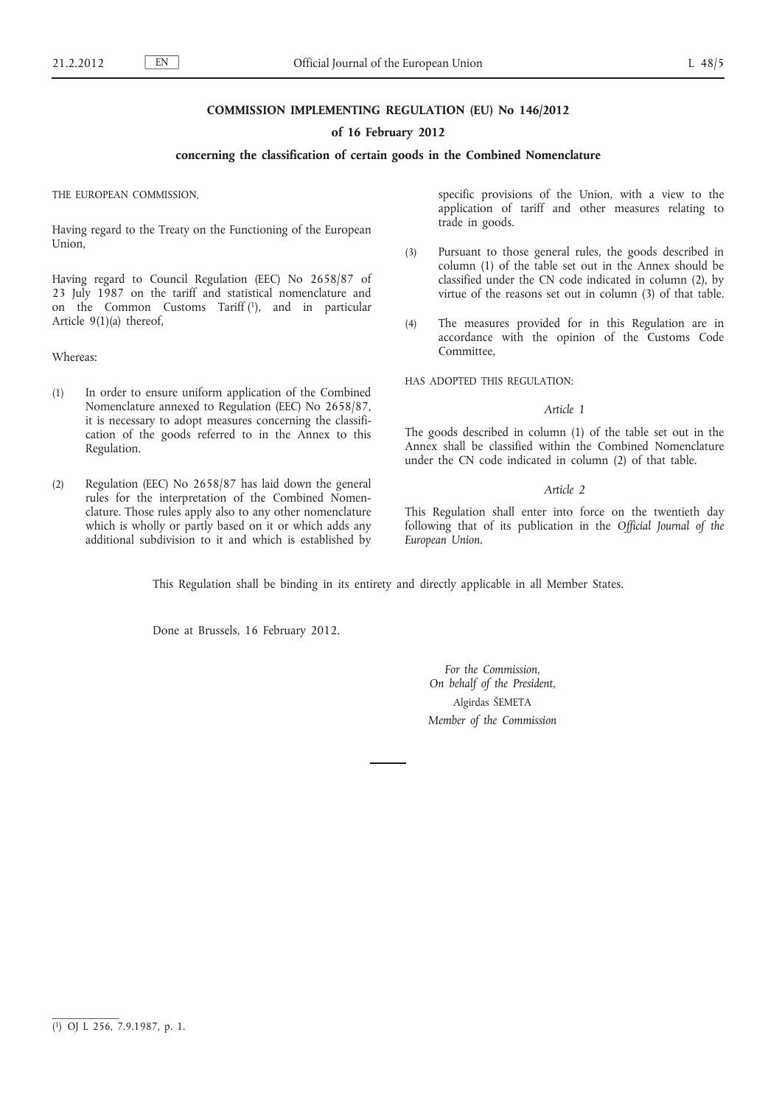## **COMMISSION IMPLEMENTING REGULATION (EU) No 146/2012**

## **of 16 February 2012**

## **concerning the classification of certain goods in the Combined Nomenclature**

THE EUROPEAN COMMISSION,

Having regard to the Treaty on the Functioning of the European Union,

Having regard to Council Regulation (EEC) No 2658/87 of 23 July 1987 on the tariff and statistical nomenclature and on the Common Customs Tariff (1), and in particular Article 9(1)(a) thereof,

Whereas:

- (1) In order to ensure uniform application of the Combined Nomenclature annexed to Regulation (EEC) No 2658/87, it is necessary to adopt measures concerning the classification of the goods referred to in the Annex to this Regulation.
- (2) Regulation (EEC) No 2658/87 has laid down the general rules for the interpretation of the Combined Nomenclature. Those rules apply also to any other nomenclature which is wholly or partly based on it or which adds any additional subdivision to it and which is established by

specific provisions of the Union, with a view to the application of tariff and other measures relating to trade in goods.

- (3) Pursuant to those general rules, the goods described in column (1) of the table set out in the Annex should be classified under the CN code indicated in column (2), by virtue of the reasons set out in column (3) of that table.
- (4) The measures provided for in this Regulation are in accordance with the opinion of the Customs Code Committee,

HAS ADOPTED THIS REGULATION:

### *Article 1*

The goods described in column (1) of the table set out in the Annex shall be classified within the Combined Nomenclature under the CN code indicated in column (2) of that table.

#### *Article 2*

This Regulation shall enter into force on the twentieth day following that of its publication in the *Official Journal of the European Union*.

This Regulation shall be binding in its entirety and directly applicable in all Member States.

Done at Brussels, 16 February 2012.

*For the Commission, On behalf of the President*, Algirdas ŠEMETA *Member of the Commission*

<sup>(</sup> 1) OJ L 256, 7.9.1987, p. 1.